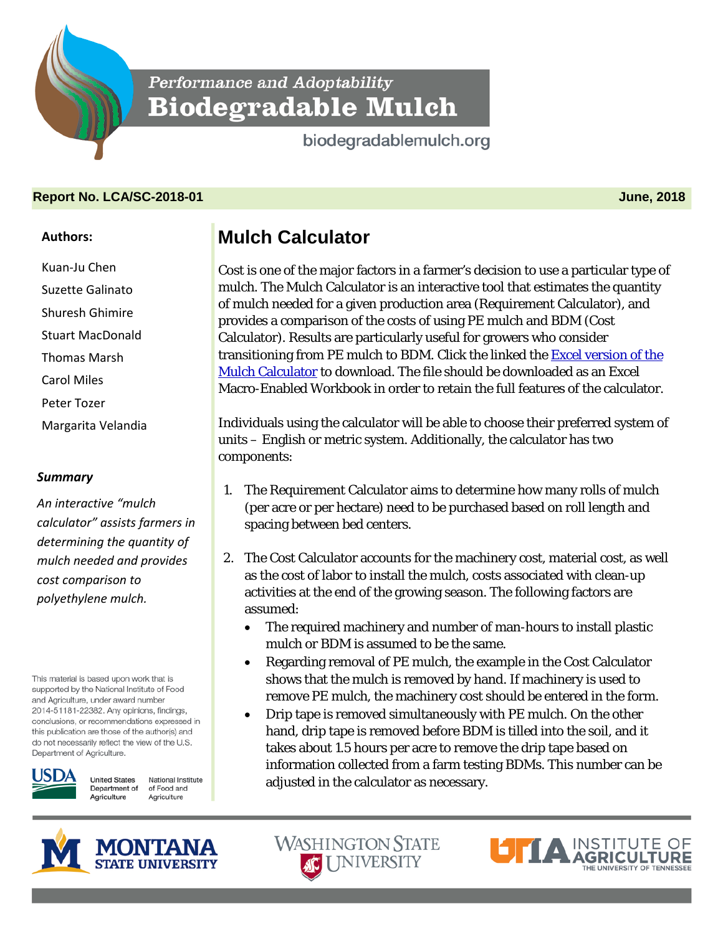**Performance and Adoptability** Biodegradable Mulch

biodegradablemulch.org

## **Report No. LCA/SC-2018-01 June, 2018**

## **Authors:**

Kuan-Ju Chen Suzette Galinato Shuresh Ghimire Stuart MacDonald Thomas Marsh Carol Miles Peter Tozer Margarita Velandia

## *Summary*

*An interactive "mulch calculator" assists farmers in determining the quantity of mulch needed and provides cost comparison to polyethylene mulch.*

This material is based upon work that is supported by the National Institute of Food and Agriculture, under award number 2014-51181-22382. Any opinions, findings, conclusions, or recommendations expressed in this publication are those of the author(s) and do not necessarily reflect the view of the U.S. Department of Agriculture.



**United States** National Institute of Food and Department of Agriculture Agriculture

## **Mulch Calculator**

Cost is one of the major factors in a farmer's decision to use a particular type of mulch. The Mulch Calculator is an interactive tool that estimates the quantity of mulch needed for a given production area (Requirement Calculator), and provides a comparison of the costs of using PE mulch and BDM (Cost Calculator). Results are particularly useful for growers who consider transitioning from PE mulch to BDM. Click the linked the [Excel version of the](https://ag.tennessee.edu/biodegradablemulch/_layouts/xlviewer.aspx?id=/biodegradablemulch/Documents/Mulch-calculator.xlsm&Source=https%3A%2F%2Fag%2Etennessee%2Eedu%2Fbiodegradablemulch%2FDocuments%2FForms%2FAllItems%2Easpx&DefaultItemOpen=1https://ag.tennessee.edu/biodegradablemulch/_layouts/xlviewer.aspx?id=/biodegradablemulch/Documents/Mulch-calculator.xlsm&Source=https%3A%2F%2Fag%2Etennessee%2Eedu%2Fbiodegradablemulch%2FDocuments%2FForms%2FAllItems%2Easpx&DefaultItemOpen=1)  [Mulch Calculator](https://ag.tennessee.edu/biodegradablemulch/_layouts/xlviewer.aspx?id=/biodegradablemulch/Documents/Mulch-calculator.xlsm&Source=https%3A%2F%2Fag%2Etennessee%2Eedu%2Fbiodegradablemulch%2FDocuments%2FForms%2FAllItems%2Easpx&DefaultItemOpen=1https://ag.tennessee.edu/biodegradablemulch/_layouts/xlviewer.aspx?id=/biodegradablemulch/Documents/Mulch-calculator.xlsm&Source=https%3A%2F%2Fag%2Etennessee%2Eedu%2Fbiodegradablemulch%2FDocuments%2FForms%2FAllItems%2Easpx&DefaultItemOpen=1) to download. The file should be downloaded as an [Excel](https://ag.tennessee.edu/biodegradablemulch/_layouts/xlviewer.aspx?id=/biodegradablemulch/Documents/Mulch-calculator.xlsm&Source=https%3A%2F%2Fag%2Etennessee%2Eedu%2Fbiodegradablemulch%2FDocuments%2FForms%2FAllItems%2Easpx&DefaultItemOpen=1)  [Macro-Enabled Workbook](https://ag.tennessee.edu/biodegradablemulch/_layouts/xlviewer.aspx?id=/biodegradablemulch/Documents/Mulch-calculator.xlsm&Source=https%3A%2F%2Fag%2Etennessee%2Eedu%2Fbiodegradablemulch%2FDocuments%2FForms%2FAllItems%2Easpx&DefaultItemOpen=1) in order to retain the full features of the calculator.

Individuals using the calculator will be able to choose their preferred system of units – English or metric system. Additionally, the calculator has two components:

- 1. The Requirement Calculator aims to determine how many rolls of mulch (per acre or per hectare) need to be purchased based on roll length and spacing between bed centers.
- 2. The Cost Calculator accounts for the machinery cost, material cost, as well as the cost of labor to install the mulch, costs associated with clean-up activities at the end of the growing season. The following factors are assumed:
	- The required machinery and number of man-hours to install plastic mulch or BDM is assumed to be the same.
	- Regarding removal of PE mulch, the example in the Cost Calculator shows that the mulch is removed by hand. If machinery is used to remove PE mulch, the machinery cost should be entered in the form.
	- Drip tape is removed simultaneously with PE mulch. On the other hand, drip tape is removed before BDM is tilled into the soil, and it takes about 1.5 hours per acre to remove the drip tape based on information collected from a farm testing BDMs. This number can be adjusted in the calculator as necessary.